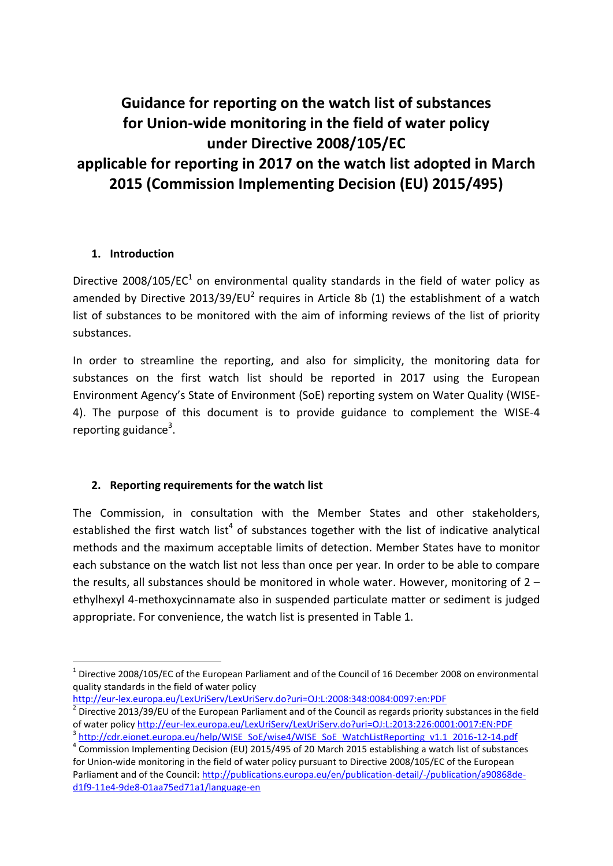# **Guidance for reporting on the watch list of substances for Union-wide monitoring in the field of water policy under Directive 2008/105/EC applicable for reporting in 2017 on the watch list adopted in March 2015 (Commission Implementing Decision (EU) 2015/495)**

## **1. Introduction**

**.** 

Directive 2008/105/EC<sup>1</sup> on environmental quality standards in the field of water policy as amended by Directive 2013/39/EU<sup>2</sup> requires in Article 8b (1) the establishment of a watch list of substances to be monitored with the aim of informing reviews of the list of priority substances.

In order to streamline the reporting, and also for simplicity, the monitoring data for substances on the first watch list should be reported in 2017 using the European Environment Agency's State of Environment (SoE) reporting system on Water Quality (WISE-4). The purpose of this document is to provide guidance to complement the WISE-4 reporting guidance<sup>3</sup>.

## **2. Reporting requirements for the watch list**

The Commission, in consultation with the Member States and other stakeholders, established the first watch list<sup>4</sup> of substances together with the list of indicative analytical methods and the maximum acceptable limits of detection. Member States have to monitor each substance on the watch list not less than once per year. In order to be able to compare the results, all substances should be monitored in whole water. However, monitoring of  $2$ ethylhexyl 4-methoxycinnamate also in suspended particulate matter or sediment is judged appropriate. For convenience, the watch list is presented in Table 1.

<http://eur-lex.europa.eu/LexUriServ/LexUriServ.do?uri=OJ:L:2008:348:0084:0097:en:PDF> 2

 $1$  Directive 2008/105/EC of the European Parliament and of the Council of 16 December 2008 on environmental quality standards in the field of water policy

Directive 2013/39/EU of the European Parliament and of the Council as regards priority substances in the field of water polic[y http://eur-lex.europa.eu/LexUriServ/LexUriServ.do?uri=OJ:L:2013:226:0001:0017:EN:PDF](http://eur-lex.europa.eu/LexUriServ/LexUriServ.do?uri=OJ:L:2013:226:0001:0017:EN:PDF) <sup>3</sup> [http://cdr.eionet.europa.eu/help/WISE\\_SoE/wise4/WISE\\_SoE\\_WatchListReporting\\_v1.1\\_2016-12-14.pdf](http://cdr.eionet.europa.eu/help/WISE_SoE/wise4/WISE_SoE_WatchListReporting_v1.1_2016-12-14.pdf)

<sup>&</sup>lt;sup>4</sup> Commission Implementing Decision (EU) 2015/495 of 20 March 2015 establishing a watch list of substances for Union-wide monitoring in the field of water policy pursuant to Directive 2008/105/EC of the European Parliament and of the Council: [http://publications.europa.eu/en/publication-detail/-/publication/a90868de](http://publications.europa.eu/en/publication-detail/-/publication/a90868de-d1f9-11e4-9de8-01aa75ed71a1/language-en)[d1f9-11e4-9de8-01aa75ed71a1/language-en](http://publications.europa.eu/en/publication-detail/-/publication/a90868de-d1f9-11e4-9de8-01aa75ed71a1/language-en)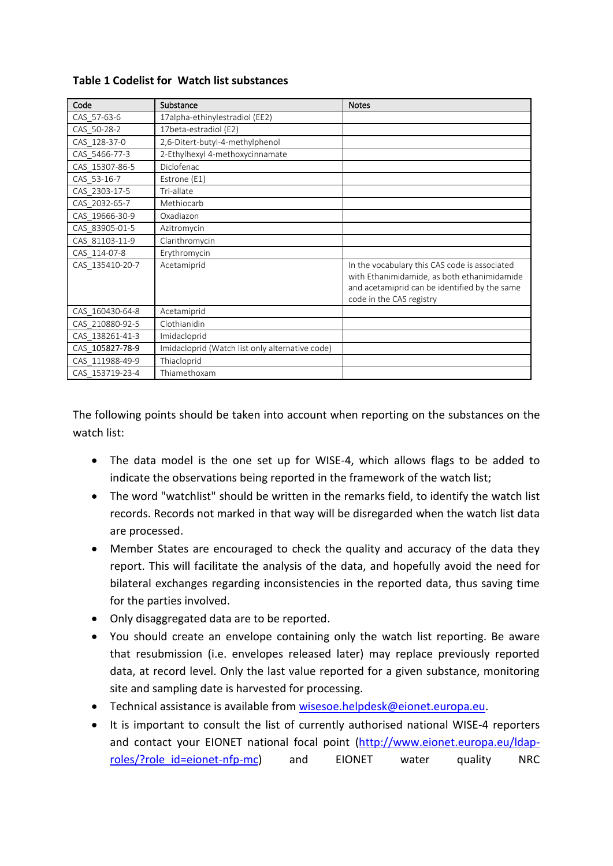| Code            | Substance                                       | <b>Notes</b>                                                                                                                                                              |
|-----------------|-------------------------------------------------|---------------------------------------------------------------------------------------------------------------------------------------------------------------------------|
| CAS_57-63-6     | 17alpha-ethinylestradiol (EE2)                  |                                                                                                                                                                           |
| CAS_50-28-2     | 17beta-estradiol (E2)                           |                                                                                                                                                                           |
| CAS 128-37-0    | 2,6-Ditert-butyl-4-methylphenol                 |                                                                                                                                                                           |
| CAS 5466-77-3   | 2-Ethylhexyl 4-methoxycinnamate                 |                                                                                                                                                                           |
| CAS 15307-86-5  | Diclofenac                                      |                                                                                                                                                                           |
| CAS 53-16-7     | Estrone (E1)                                    |                                                                                                                                                                           |
| CAS 2303-17-5   | Tri-allate                                      |                                                                                                                                                                           |
| CAS 2032-65-7   | Methiocarb                                      |                                                                                                                                                                           |
| CAS_19666-30-9  | Oxadiazon                                       |                                                                                                                                                                           |
| CAS 83905-01-5  | Azitromycin                                     |                                                                                                                                                                           |
| CAS 81103-11-9  | Clarithromycin                                  |                                                                                                                                                                           |
| CAS 114-07-8    | Erythromycin                                    |                                                                                                                                                                           |
| CAS 135410-20-7 | Acetamiprid                                     | In the vocabulary this CAS code is associated<br>with Ethanimidamide, as both ethanimidamide<br>and acetamiprid can be identified by the same<br>code in the CAS registry |
| CAS 160430-64-8 | Acetamiprid                                     |                                                                                                                                                                           |
| CAS_210880-92-5 | Clothianidin                                    |                                                                                                                                                                           |
| CAS 138261-41-3 | Imidacloprid                                    |                                                                                                                                                                           |
| CAS 105827-78-9 | Imidacloprid (Watch list only alternative code) |                                                                                                                                                                           |
| CAS 111988-49-9 | Thiacloprid                                     |                                                                                                                                                                           |
| CAS 153719-23-4 | Thiamethoxam                                    |                                                                                                                                                                           |

#### **Table 1 Codelist for Watch list substances**

The following points should be taken into account when reporting on the substances on the watch list:

- The data model is the one set up for WISE-4, which allows flags to be added to indicate the observations being reported in the framework of the watch list;
- The word "watchlist" should be written in the remarks field, to identify the watch list records. Records not marked in that way will be disregarded when the watch list data are processed.
- Member States are encouraged to check the quality and accuracy of the data they report. This will facilitate the analysis of the data, and hopefully avoid the need for bilateral exchanges regarding inconsistencies in the reported data, thus saving time for the parties involved.
- Only disaggregated data are to be reported.
- You should create an envelope containing only the watch list reporting. Be aware that resubmission (i.e. envelopes released later) may replace previously reported data, at record level. Only the last value reported for a given substance, monitoring site and sampling date is harvested for processing.
- Technical assistance is available from [wisesoe.helpdesk@eionet.europa.eu.](mailto:wisesoe.helpdesk@eionet.europa.eu)
- It is important to consult the list of currently authorised national WISE-4 reporters and contact your EIONET national focal point [\(http://www.eionet.europa.eu/ldap](http://www.eionet.europa.eu/ldap-roles/?role_id=eionet-nfp-mc)[roles/?role\\_id=eionet-nfp-mc\)](http://www.eionet.europa.eu/ldap-roles/?role_id=eionet-nfp-mc) and EIONET water quality NRC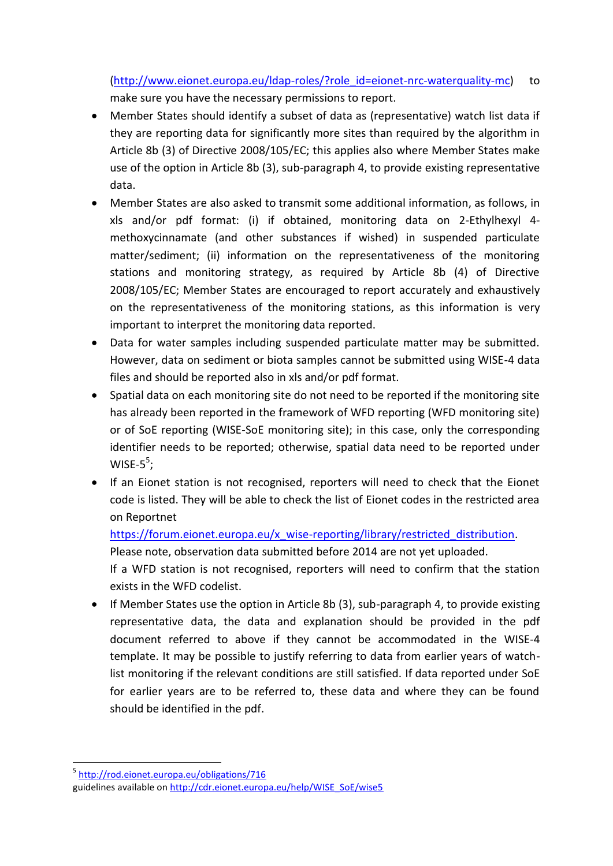[\(http://www.eionet.europa.eu/ldap-roles/?role\\_id=eionet-nrc-waterquality-mc\)](http://www.eionet.europa.eu/ldap-roles/?role_id=eionet-nrc-waterquality-mc) to make sure you have the necessary permissions to report.

- Member States should identify a subset of data as (representative) watch list data if they are reporting data for significantly more sites than required by the algorithm in Article 8b (3) of Directive 2008/105/EC; this applies also where Member States make use of the option in Article 8b (3), sub-paragraph 4, to provide existing representative data.
- Member States are also asked to transmit some additional information, as follows, in xls and/or pdf format: (i) if obtained, monitoring data on 2-Ethylhexyl 4 methoxycinnamate (and other substances if wished) in suspended particulate matter/sediment; (ii) information on the representativeness of the monitoring stations and monitoring strategy, as required by Article 8b (4) of Directive 2008/105/EC; Member States are encouraged to report accurately and exhaustively on the representativeness of the monitoring stations, as this information is very important to interpret the monitoring data reported.
- Data for water samples including suspended particulate matter may be submitted. However, data on sediment or biota samples cannot be submitted using WISE-4 data files and should be reported also in xls and/or pdf format.
- Spatial data on each monitoring site do not need to be reported if the monitoring site has already been reported in the framework of WFD reporting (WFD monitoring site) or of SoE reporting (WISE-SoE monitoring site); in this case, only the corresponding identifier needs to be reported; otherwise, spatial data need to be reported under WISE- $5^5$ ;
- If an Eionet station is not recognised, reporters will need to check that the Eionet code is listed. They will be able to check the list of Eionet codes in the restricted area on Reportnet

[https://forum.eionet.europa.eu/x\\_wise-reporting/library/restricted\\_distribution.](https://forum.eionet.europa.eu/x_wise-reporting/library/restricted_distribution)

Please note, observation data submitted before 2014 are not yet uploaded.

If a WFD station is not recognised, reporters will need to confirm that the station exists in the WFD codelist.

• If Member States use the option in Article 8b (3), sub-paragraph 4, to provide existing representative data, the data and explanation should be provided in the pdf document referred to above if they cannot be accommodated in the WISE-4 template. It may be possible to justify referring to data from earlier years of watchlist monitoring if the relevant conditions are still satisfied. If data reported under SoE for earlier years are to be referred to, these data and where they can be found should be identified in the pdf.

1

<sup>&</sup>lt;sup>5</sup> <http://rod.eionet.europa.eu/obligations/716> guidelines available on [http://cdr.eionet.europa.eu/help/WISE\\_SoE/wise5](http://cdr.eionet.europa.eu/help/WISE_SoE/wise5)